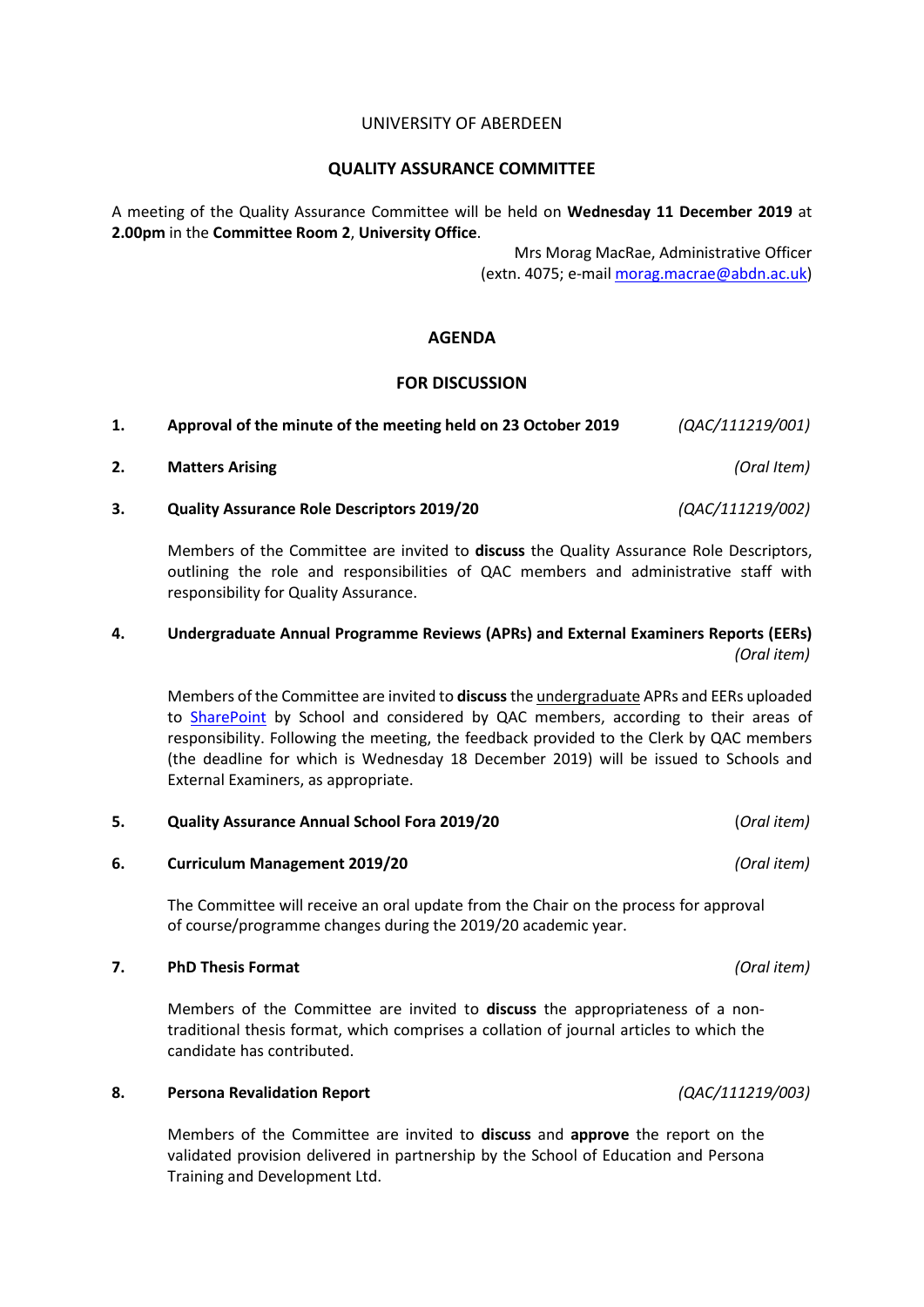### UNIVERSITY OF ABERDEEN

### **QUALITY ASSURANCE COMMITTEE**

A meeting of the Quality Assurance Committee will be held on **Wednesday 11 December 2019** at **2.00pm** in the **Committee Room 2**, **University Office**.

> Mrs Morag MacRae, Administrative Officer (extn. 4075; e-mai[l morag.macrae@abdn.ac.uk\)](mailto:morag.macrae@abdn.ac.uk)

## **AGENDA**

## **FOR DISCUSSION**

| Approval of the minute of the meeting held on 23 October 2019 | (QAC/111219/001) |
|---------------------------------------------------------------|------------------|
| <b>Matters Arising</b>                                        | (Oral Item)      |
| <b>Quality Assurance Role Descriptors 2019/20</b>             | (QAC/111219/002) |

Members of the Committee are invited to **discuss** the Quality Assurance Role Descriptors, outlining the role and responsibilities of QAC members and administrative staff with responsibility for Quality Assurance.

# **4. Undergraduate Annual Programme Reviews (APRs) and External Examiners Reports (EERs)** *(Oral item)*

Members of the Committee are invited to **discuss**the undergraduate APRs and EERs uploaded to [SharePoint](https://365abdn.sharepoint.com/projects/qacPlanning/SitePages/Home.aspx) by School and considered by QAC members, according to their areas of responsibility. Following the meeting, the feedback provided to the Clerk by QAC members (the deadline for which is Wednesday 18 December 2019) will be issued to Schools and External Examiners, as appropriate.

## **5. Quality Assurance Annual School Fora 2019/20** (*Oral item)*

**6. Curriculum Management 2019/20** *(Oral item)*

The Committee will receive an oral update from the Chair on the process for approval of course/programme changes during the 2019/20 academic year.

## **7. PhD Thesis Format** *(Oral item)*

Members of the Committee are invited to **discuss** the appropriateness of a nontraditional thesis format, which comprises a collation of journal articles to which the candidate has contributed.

### **8. Persona Revalidation Report** *(QAC/111219/003)*

Members of the Committee are invited to **discuss** and **approve** the report on the validated provision delivered in partnership by the School of Education and Persona Training and Development Ltd.